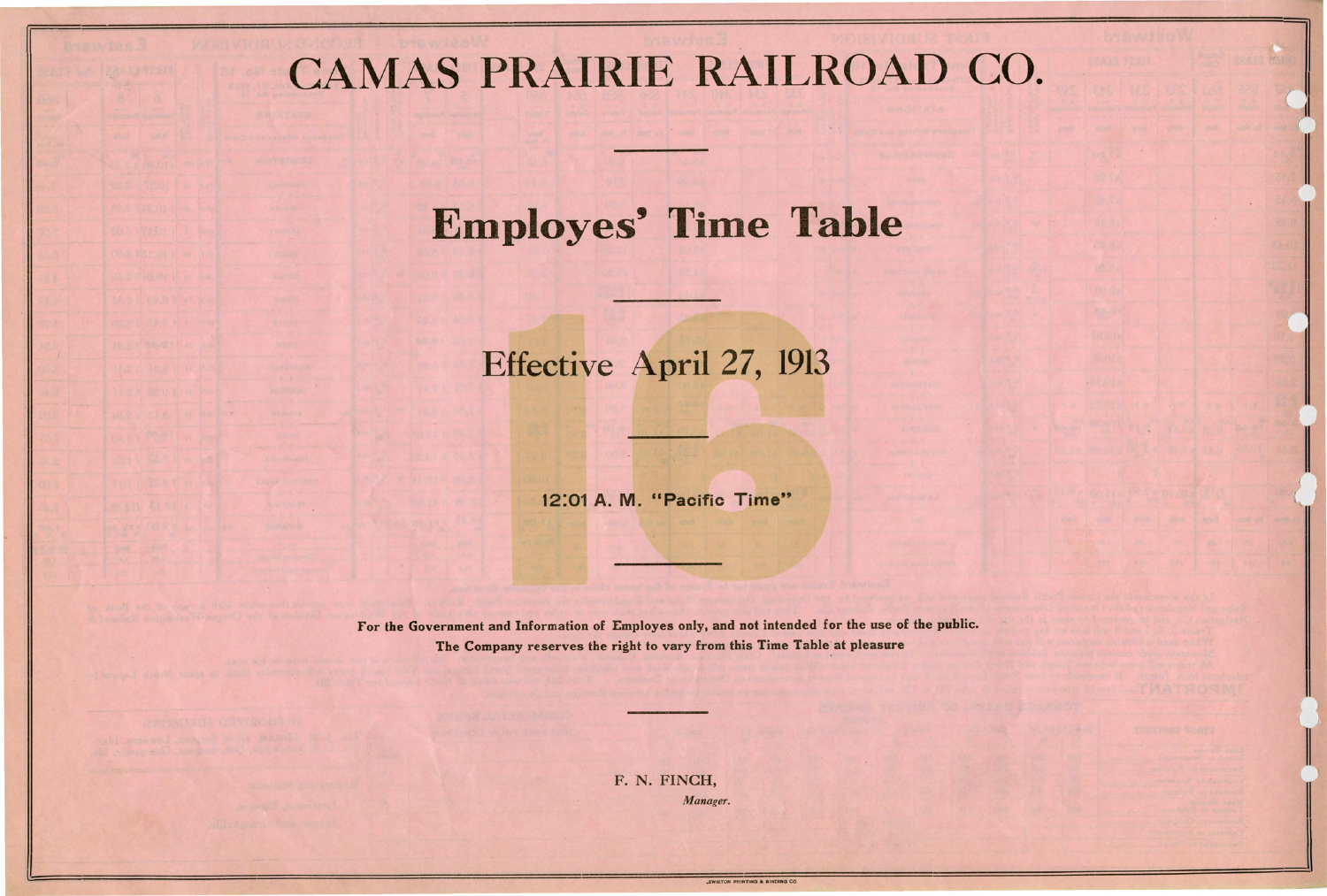# CAMAS PRAIRIE RAILROAD CO.

## **Employes' Time Table**

### Effective April 27, 1913

12:01 **A. M.** "Pacific Time"

For the Government and Information of Employes only. and not intended for the use of the public. The Company reserves the right to vary from this Time Table at pleasure

> F. N. FINCH, *Manager .*

> > **LEWISTON PRINTING & BINDING CO.**